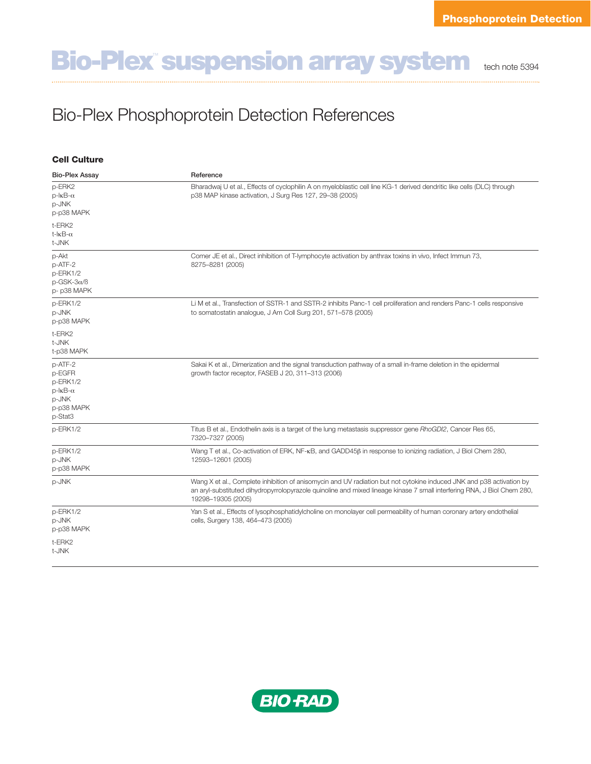## **Bio-Plex<sup>"</sup> suspension array system the 61 note 5394**

## Bio-Plex Phosphoprotein Detection References

| <b>Cell Culture</b>                                                                      | Reference                                                                                                                                                                                                                                                             |
|------------------------------------------------------------------------------------------|-----------------------------------------------------------------------------------------------------------------------------------------------------------------------------------------------------------------------------------------------------------------------|
| <b>Bio-Plex Assay</b>                                                                    |                                                                                                                                                                                                                                                                       |
| p-ERK2<br>$p$ - $kB$ - $\alpha$<br>p-JNK<br>p-p38 MAPK                                   | Bharadwaj U et al., Effects of cyclophilin A on myeloblastic cell line KG-1 derived dendritic like cells (DLC) through<br>p38 MAP kinase activation, J Surg Res 127, 29-38 (2005)                                                                                     |
| t-ERK2<br>t- $kB$ - $\alpha$<br>t-JNK                                                    |                                                                                                                                                                                                                                                                       |
| p-Akt<br>p-ATF-2<br>p-ERK1/2<br>$p$ -GSK-3 $\alpha$ / $\beta$<br>p-p38 MAPK              | Comer JE et al., Direct inhibition of T-lymphocyte activation by anthrax toxins in vivo, Infect Immun 73,<br>8275-8281 (2005)                                                                                                                                         |
| p-ERK1/2<br>p-JNK<br>p-p38 MAPK                                                          | Li M et al., Transfection of SSTR-1 and SSTR-2 inhibits Panc-1 cell proliferation and renders Panc-1 cells responsive<br>to somatostatin analogue, J Am Coll Surg 201, 571-578 (2005)                                                                                 |
| t-ERK2<br>t-JNK<br>t-p38 MAPK                                                            |                                                                                                                                                                                                                                                                       |
| p-ATF-2<br>p-EGFR<br>p-ERK1/2<br>$p$ - $kB$ - $\alpha$<br>p-JNK<br>p-p38 MAPK<br>p-Stat3 | Sakai K et al., Dimerization and the signal transduction pathway of a small in-frame deletion in the epidermal<br>growth factor receptor, FASEB J 20, 311-313 (2006)                                                                                                  |
| p-ERK1/2                                                                                 | Titus B et al., Endothelin axis is a target of the lung metastasis suppressor gene RhoGDI2, Cancer Res 65,<br>7320-7327 (2005)                                                                                                                                        |
| p-ERK1/2<br>p-JNK<br>p-p38 MAPK                                                          | Wang T et al., Co-activation of ERK, NF- $\kappa$ B, and GADD45 $\beta$ in response to ionizing radiation, J Biol Chem 280,<br>12593-12601 (2005)                                                                                                                     |
| p-JNK                                                                                    | Wang X et al., Complete inhibition of anisomycin and UV radiation but not cytokine induced JNK and p38 activation by<br>an aryl-substituted dihydropyrrolopyrazole quinoline and mixed lineage kinase 7 small interfering RNA, J Biol Chem 280,<br>19298-19305 (2005) |
| p-ERK1/2<br>p-JNK<br>p-p38 MAPK                                                          | Yan S et al., Effects of lysophosphatidylcholine on monolayer cell permeability of human coronary artery endothelial<br>cells, Surgery 138, 464-473 (2005)                                                                                                            |
| t-ERK2<br>t-JNK                                                                          |                                                                                                                                                                                                                                                                       |